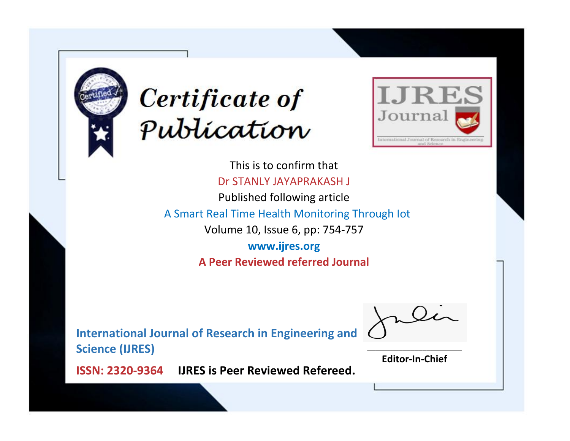



This is to confirm that Dr STANLY JAYAPRAKASH J

Published following article

A Smart Real Time Health Monitoring Through Iot

Volume 10, Issue 6, pp: 754-757

**www.ijres.org A Peer Reviewed referred Journal**

**International Journal of Research in Engineering and Science (IJRES)**

\_\_\_\_\_\_\_\_\_\_\_\_\_\_\_\_\_\_\_\_\_\_\_\_ **Editor-In-Chief**

**Journal.**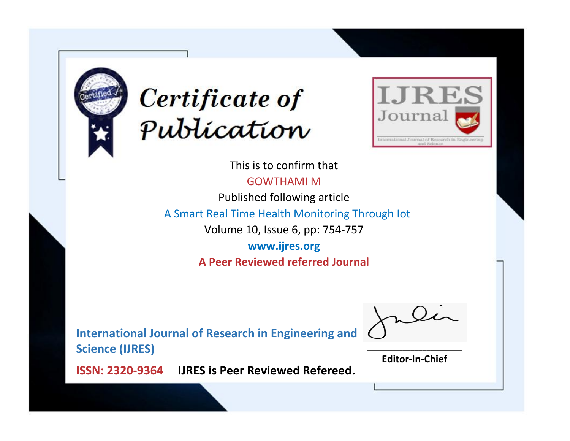



This is to confirm that

GOWTHAMI M

Published following article

A Smart Real Time Health Monitoring Through Iot

Volume 10, Issue 6, pp: 754-757

**www.ijres.org A Peer Reviewed referred Journal**

**International Journal of Research in Engineering and Science (IJRES)**

\_\_\_\_\_\_\_\_\_\_\_\_\_\_\_\_\_\_\_\_\_\_\_\_ **Editor-In-Chief**

**Journal.**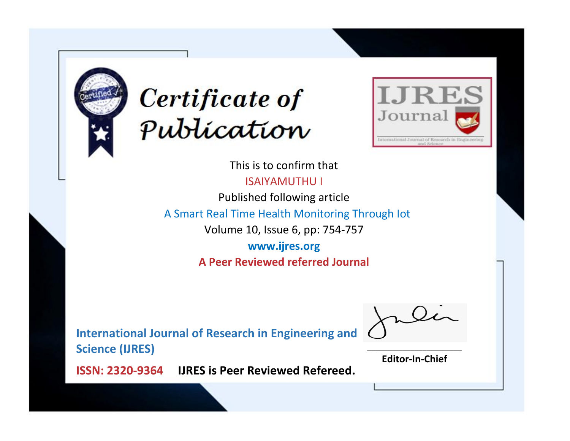



This is to confirm that ISAIYAMUTHU I

Published following article

A Smart Real Time Health Monitoring Through Iot

Volume 10, Issue 6, pp: 754-757

**www.ijres.org A Peer Reviewed referred Journal**

**International Journal of Research in Engineering and Science (IJRES)**

\_\_\_\_\_\_\_\_\_\_\_\_\_\_\_\_\_\_\_\_\_\_\_\_ **Editor-In-Chief**

**Journal.**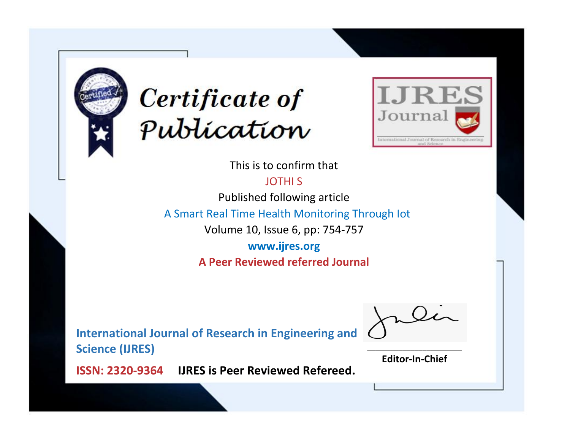



This is to confirm that

JOTHI S

Published following article

A Smart Real Time Health Monitoring Through Iot

Volume 10, Issue 6, pp: 754-757

**www.ijres.org A Peer Reviewed referred Journal**

**International Journal of Research in Engineering and Science (IJRES)**

\_\_\_\_\_\_\_\_\_\_\_\_\_\_\_\_\_\_\_\_\_\_\_\_ **Editor-In-Chief**

**Journal.**